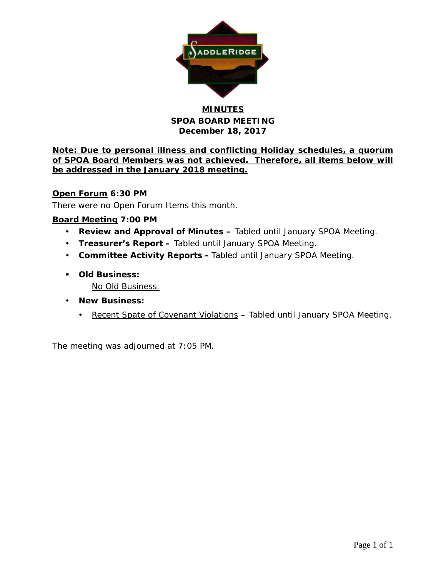

## **MINUTES SPOA BOARD MEETING December 18, 2017**

**Note: Due to personal illness and conflicting Holiday schedules, a quorum of SPOA Board Members was not achieved. Therefore, all items below will be addressed in the January 2018 meeting.**

### **Open Forum 6:30 PM**

There were no Open Forum Items this month.

### **Board Meeting 7:00 PM**

- **Review and Approval of Minutes –** Tabled until January SPOA Meeting.
- **Treasurer's Report –** Tabled until January SPOA Meeting.
- **Committee Activity Reports -** Tabled until January SPOA Meeting.
- **Old Business:**
	- No Old Business.
- **New Business:**
	- Recent Spate of Covenant Violations Tabled until January SPOA Meeting.

The meeting was adjourned at 7:05 PM.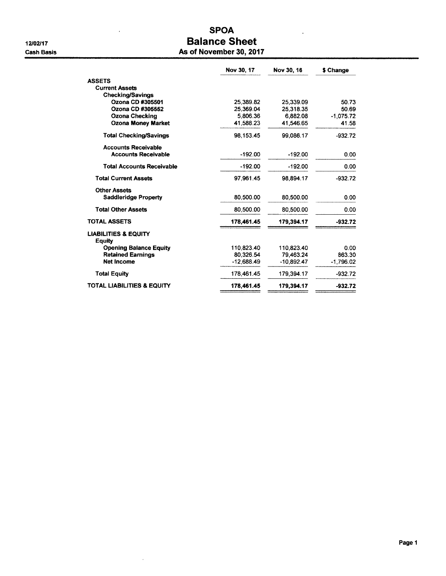$\overline{a}$ 

 $\bar{z}$ 

### **SPOA Balance Sheet** As of November 30, 2017

|                                                  | Nov 30, 17   | Nov 30, 16   | \$ Change   |
|--------------------------------------------------|--------------|--------------|-------------|
| <b>ASSETS</b>                                    |              |              |             |
| <b>Current Assets</b>                            |              |              |             |
| <b>Checking/Savings</b>                          |              |              |             |
| Ozona CD #305501                                 | 25,389.82    | 25,339.09    | 50.73       |
| Ozona CD #305552                                 | 25.369.04    | 25.318.35    | 50.69       |
| Ozona Checking                                   | 5,806.36     | 6.882.08     | $-1.075.72$ |
| <b>Ozona Money Market</b>                        | 41.588.23    | 41.546.65    | 41.58       |
| <b>Total Checking/Savings</b>                    | 98,153.45    | 99,086.17    | $-932.72$   |
| <b>Accounts Receivable</b>                       |              |              |             |
| <b>Accounts Receivable</b>                       | $-192.00$    | $-192.00$    | 0.00        |
| <b>Total Accounts Receivable</b>                 | $-192.00$    | $-192.00$    | 0.00        |
| <b>Total Current Assets</b>                      | 97.961.45    | 98.894.17    | $-932.72$   |
| <b>Other Assets</b>                              |              |              |             |
| <b>Saddleridge Property</b>                      | 80,500.00    | 80,500.00    | 0.00        |
| <b>Total Other Assets</b>                        | 80,500.00    | 80,500.00    | 0.00        |
| <b>TOTAL ASSETS</b>                              | 178,461.45   | 179,394.17   | $-932.72$   |
| <b>LIABILITIES &amp; EQUITY</b><br><b>Equity</b> |              |              |             |
| <b>Opening Balance Equity</b>                    | 110,823.40   | 110.823.40   | 0.00        |
| <b>Retained Earnings</b>                         | 80.326.54    | 79.463.24    | 863.30      |
| <b>Net Income</b>                                | $-12,688.49$ | $-10.892.47$ | $-1,796.02$ |
| <b>Total Equity</b>                              | 178.461.45   | 179,394.17   | $-932.72$   |
| <b>TOTAL LIABILITIES &amp; EQUITY</b>            | 178,461.45   | 179,394.17   | $-932.72$   |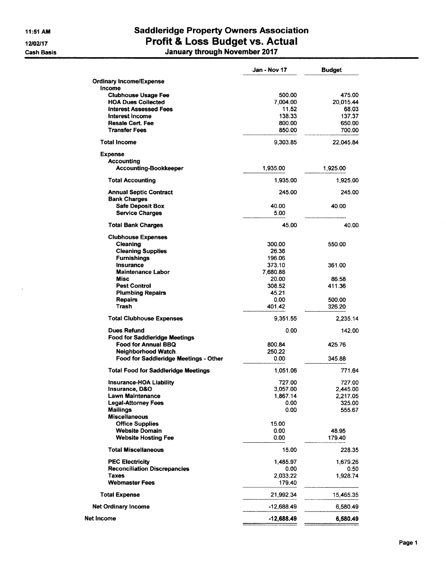11:51 AM 12/02/17 **Cash Basis** 

 $\boldsymbol{L}$ 

# **Saddleridge Property Owners Association** Profit & Loss Budget vs. Actual<br>January through November 2017

|                                                     | Jan - Nov 17     | <b>Budget</b> |
|-----------------------------------------------------|------------------|---------------|
| <b>Ordinary Income/Expense</b>                      |                  |               |
| Income                                              |                  |               |
| <b>Clubhouse Usage Fee</b>                          | 500.00           | 475.00        |
| <b>HOA Dues Collected</b>                           | 7,004.00         | 20,015.44     |
| <b>Interest Assessed Fees</b>                       | 11.52            | 68.03         |
| Interest Income                                     | 138.33           | 137.37        |
| <b>Resale Cert. Fee</b>                             | 800.00           | 650.00        |
| <b>Transfer Fees</b>                                | 850.00           | 700.00        |
| <b>Total Income</b>                                 | 9,303.85         | 22,045.84     |
| <b>Expense</b>                                      |                  |               |
| Accounting                                          |                  |               |
| Accounting-Bookkeeper                               | 1,935.00         | 1,925.00      |
| <b>Total Accounting</b>                             | 1,935.00         | 1,925.00      |
| <b>Annual Septic Contract</b>                       | 245.00           | 245.00        |
| <b>Bank Charges</b>                                 |                  |               |
| <b>Safe Deposit Box</b>                             | 40.00            | 40.00         |
| <b>Service Charges</b>                              | 5.00             |               |
| <b>Total Bank Charges</b>                           | 45.00            | 40.00         |
| <b>Clubhouse Expenses</b>                           |                  |               |
| Cleaning                                            | 300.00           | 550.00        |
| <b>Cleaning Supplies</b>                            | 26.36            |               |
| <b>Furnishings</b><br>Insurance                     | 196.06<br>373.10 |               |
| <b>Maintenance Labor</b>                            | 7.680.88         | 361.00        |
| <b>Misc</b>                                         | 20.00            | 86.58         |
| <b>Pest Control</b>                                 | 308.52           | 411.36        |
| <b>Plumbing Repairs</b>                             | 45.21            |               |
| <b>Repairs</b>                                      | 0.00             | 500.00        |
| Trash                                               | 401.42           | 326.20        |
| <b>Total Clubhouse Expenses</b>                     | 9,351.55         | 2,235.14      |
| <b>Dues Refund</b>                                  | 0.00             | 142.00        |
| <b>Food for Saddleridge Meetings</b>                |                  |               |
| Food for Annual BBQ                                 | 800.84           | 425.76        |
| Neighborhood Watch                                  | 250.22           |               |
| Food for Saddleridge Meetings - Other               | 0.00             | 345.88        |
| <b>Total Food for Saddleridge Meetings</b>          | 1,051.06         | 771.64        |
| <b>Insurance-HOA Liability</b>                      | 727.00           | 727.00        |
| Insurance, D&O                                      | 3,057.00         | 2,445.00      |
| Lawn Maintenance                                    | 1,867.14         | 2,217.05      |
| <b>Legal-Attorney Fees</b>                          | 0.00             | 325.00        |
| <b>Mailings</b>                                     | 0.00             | 555.67        |
| <b>Miscellaneous</b>                                |                  |               |
| <b>Office Supplies</b><br><b>Website Domain</b>     | 15.00<br>0.00    | 48.95         |
| <b>Website Hosting Fee</b>                          | 0.00             | 179.40        |
|                                                     |                  |               |
| <b>Total Miscellaneous</b>                          | 15.00            | 228.35        |
| <b>PEC Electricity</b>                              | 1,485.97         | 1,679.26      |
| <b>Reconciliation Discrepancies</b><br><b>Taxes</b> | 0.00<br>2,033.22 | 0.50          |
| <b>Webmaster Fees</b>                               | 179.40           | 1,928.74      |
| <b>Total Expense</b>                                | 21,992.34        | 15,465.35     |
| <b>Net Ordinary Income</b>                          | -12,688.49       | 6,580.49      |
| Net Income                                          | $-12,688.49$     | 6,580.49      |
|                                                     |                  |               |